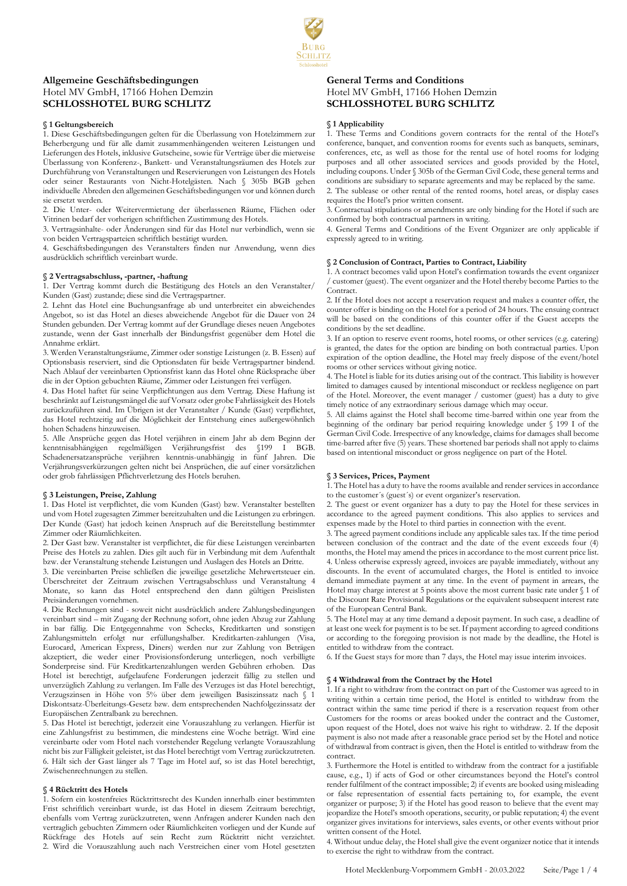# **Allgemeine Geschäftsbedingungen**  Hotel MV GmbH, 17166 Hohen Demzin **SCHLOSSHOTEL BURG SCHLITZ**

## **§ 1 Geltungsbereich**

1. Diese Geschäftsbedingungen gelten für die Überlassung von Hotelzimmern zur Beherbergung und für alle damit zusammenhängenden weiteren Leistungen und Lieferungen des Hotels, inklusive Gutscheine, sowie für Verträge über die mietweise Überlassung von Konferenz-, Bankett- und Veranstaltungsräumen des Hotels zur Durchführung von Veranstaltungen und Reservierungen von Leistungen des Hotels oder seiner Restaurants von Nicht-Hotelgästen. Nach § 305b BGB gehen individuelle Abreden den allgemeinen Geschäftsbedingungen vor und können durch sie ersetzt werden.

2. Die Unter- oder Weitervermietung der überlassenen Räume, Flächen oder Vitrinen bedarf der vorherigen schriftlichen Zustimmung des Hotels.

3. Vertragsinhalte- oder Änderungen sind für das Hotel nur verbindlich, wenn sie von beiden Vertragsparteien schriftlich bestätigt wurden.

4. Geschäftsbedingungen des Veranstalters finden nur Anwendung, wenn dies ausdrücklich schriftlich vereinbart wurde.

## **§ 2 Vertragsabschluss, -partner, -haftung**

1. Der Vertrag kommt durch die Bestätigung des Hotels an den Veranstalter/ Kunden (Gast) zustande; diese sind die Vertragspartner.

2. Lehnt das Hotel eine Buchungsanfrage ab und unterbreitet ein abweichendes Angebot, so ist das Hotel an dieses abweichende Angebot für die Dauer von 24 Stunden gebunden. Der Vertrag kommt auf der Grundlage dieses neuen Angebotes zustande, wenn der Gast innerhalb der Bindungsfrist gegenüber dem Hotel die Annahme erklärt.

3. Werden Veranstaltungsräume, Zimmer oder sonstige Leistungen (z. B. Essen) auf Optionsbasis reserviert, sind die Optionsdaten für beide Vertragspartner bindend. Nach Ablauf der vereinbarten Optionsfrist kann das Hotel ohne Rücksprache über die in der Option gebuchten Räume, Zimmer oder Leistungen frei verfügen.

4. Das Hotel haftet für seine Verpflichtungen aus dem Vertrag. Diese Haftung ist beschränkt auf Leistungsmängel die auf Vorsatz oder grobe Fahrlässigkeit des Hotels zurückzuführen sind. Im Übrigen ist der Veranstalter / Kunde (Gast) verpflichtet, das Hotel rechtzeitig auf die Möglichkeit der Entstehung eines außergewöhnlich hohen Schadens hinzuweisen.

5. Alle Ansprüche gegen das Hotel verjähren in einem Jahr ab dem Beginn der kenntnisabhängigen regelmäßigen Verjährungsfrist des §199 I BGB. Schadenersatzansprüche verjähren kenntnis-unabhängig in fünf Jahren. Die Verjährungsverkürzungen gelten nicht bei Ansprüchen, die auf einer vorsätzlichen oder grob fahrlässigen Pflichtverletzung des Hotels beruhen.

### **§ 3 Leistungen, Preise, Zahlung**

1. Das Hotel ist verpflichtet, die vom Kunden (Gast) bzw. Veranstalter bestellten und vom Hotel zugesagten Zimmer bereitzuhalten und die Leistungen zu erbringen. Der Kunde (Gast) hat jedoch keinen Anspruch auf die Bereitstellung bestimmter Zimmer oder Räumlichkeiten.

2. Der Gast bzw. Veranstalter ist verpflichtet, die für diese Leistungen vereinbarten Preise des Hotels zu zahlen. Dies gilt auch für in Verbindung mit dem Aufenthalt bzw. der Veranstaltung stehende Leistungen und Auslagen des Hotels an Dritte.

3. Die vereinbarten Preise schließen die jeweilige gesetzliche Mehrwertsteuer ein. Überschreitet der Zeitraum zwischen Vertragsabschluss und Veranstaltung 4 Monate, so kann das Hotel entsprechend den dann gültigen Preislisten Preisänderungen vornehmen.

4. Die Rechnungen sind - soweit nicht ausdrücklich andere Zahlungsbedingungen vereinbart sind – mit Zugang der Rechnung sofort, ohne jeden Abzug zur Zahlung in bar fällig. Die Entgegennahme von Schecks, Kreditkarten und sonstigen Zahlungsmitteln erfolgt nur erfüllungshalber. Kreditkarten-zahlungen (Visa, Eurocard, American Express, Diners) werden nur zur Zahlung von Beträgen akzeptiert, die weder einer Provisionsforderung unterliegen, noch verbilligte Sonderpreise sind. Für Kreditkartenzahlungen werden Gebühren erhoben. Das Hotel ist berechtigt, aufgelaufene Forderungen jederzeit fällig zu stellen und unverzüglich Zahlung zu verlangen. Im Falle des Verzuges ist das Hotel berechtigt, Verzugszinsen in Höhe von 5% über dem jeweiligen Basiszinssatz nach § 1 Diskontsatz-Überleitungs-Gesetz bzw. dem entsprechenden Nachfolgezinssatz der Europäischen Zentralbank zu berechnen.

5. Das Hotel ist berechtigt, jederzeit eine Vorauszahlung zu verlangen. Hierfür ist eine Zahlungsfrist zu bestimmen, die mindestens eine Woche beträgt. Wird eine vereinbarte oder vom Hotel nach vorstehender Regelung verlangte Vorauszahlung nicht bis zur Fälligkeit geleistet, ist das Hotel berechtigt vom Vertrag zurückzutreten. 6. Hält sich der Gast länger als 7 Tage im Hotel auf, so ist das Hotel berechtigt, Zwischenrechnungen zu stellen.

## **§ 4 Rücktritt des Hotels**

1. Sofern ein kostenfreies Rücktrittsrecht des Kunden innerhalb einer bestimmten Frist schriftlich vereinbart wurde, ist das Hotel in diesem Zeitraum berechtigt, ebenfalls vom Vertrag zurückzutreten, wenn Anfragen anderer Kunden nach den vertraglich gebuchten Zimmern oder Räumlichkeiten vorliegen und der Kunde auf Rückfrage des Hotels auf sein Recht zum Rücktritt nicht verzichtet. 2. Wird die Vorauszahlung auch nach Verstreichen einer vom Hotel gesetzten

## **General Terms and Conditions**  Hotel MV GmbH, 17166 Hohen Demzin **SCHLOSSHOTEL BURG SCHLITZ**

## **§ 1 Applicability**

1. These Terms and Conditions govern contracts for the rental of the Hotel's conference, banquet, and convention rooms for events such as banquets, seminars, conferences, etc, as well as those for the rental use of hotel rooms for lodging purposes and all other associated services and goods provided by the Hotel, including coupons. Under § 305b of the German Civil Code, these general terms and conditions are subsidiary to separate agreements and may be replaced by the same. 2. The sublease or other rental of the rented rooms, hotel areas, or display cases requires the Hotel's prior written consent.

3. Contractual stipulations or amendments are only binding for the Hotel if such are confirmed by both contractual partners in writing.

4. General Terms and Conditions of the Event Organizer are only applicable if expressly agreed to in writing.

## **§ 2 Conclusion of Contract, Parties to Contract, Liability**

1. A contract becomes valid upon Hotel's confirmation towards the event organizer / customer (guest). The event organizer and the Hotel thereby become Parties to the Contract.

2. If the Hotel does not accept a reservation request and makes a counter offer, the counter offer is binding on the Hotel for a period of 24 hours. The ensuing contract will be based on the conditions of this counter offer if the Guest accepts the conditions by the set deadline.

3. If an option to reserve event rooms, hotel rooms, or other services (e.g. catering) is granted, the dates for the option are binding on both contractual parties. Upon expiration of the option deadline, the Hotel may freely dispose of the event/hotel rooms or other services without giving notice.

4. The Hotel is liable for its duties arising out of the contract. This liability is however limited to damages caused by intentional misconduct or reckless negligence on part of the Hotel. Moreover, the event manager / customer (guest) has a duty to give timely notice of any extraordinary serious damage which may occur.

5. All claims against the Hotel shall become time-barred within one year from the beginning of the ordinary bar period requiring knowledge under § 199 I of the German Civil Code. Irrespective of any knowledge, claims for damages shall become time-barred after five (5) years. These shortened bar periods shall not apply to claims based on intentional misconduct or gross negligence on part of the Hotel.

## **§ 3 Services, Prices, Payment**

1. The Hotel has a duty to have the rooms available and render services in accordance to the customer´s (guest´s) or event organizer's reservation.

2. The guest or event organizer has a duty to pay the Hotel for these services in accordance to the agreed payment conditions. This also applies to services and expenses made by the Hotel to third parties in connection with the event.

3. The agreed payment conditions include any applicable sales tax. If the time period between conclusion of the contract and the date of the event exceeds four (4) months, the Hotel may amend the prices in accordance to the most current price list. 4. Unless otherwise expressly agreed, invoices are payable immediately, without any discounts. In the event of accumulated charges, the Hotel is entitled to invoice demand immediate payment at any time. In the event of payment in arrears, the Hotel may charge interest at 5 points above the most current basic rate under § 1 of the Discount Rate Provisional Regulations or the equivalent subsequent interest rate of the European Central Bank.

5. The Hotel may at any time demand a deposit payment. In such case, a deadline of at least one week for payment is to be set. If payment according to agreed conditions or according to the foregoing provision is not made by the deadline, the Hotel is entitled to withdraw from the contract.

6. If the Guest stays for more than 7 days, the Hotel may issue interim invoices.

## **§ 4 Withdrawal from the Contract by the Hotel**

1. If a right to withdraw from the contract on part of the Customer was agreed to in writing within a certain time period, the Hotel is entitled to withdraw from the contract within the same time period if there is a reservation request from other Customers for the rooms or areas booked under the contract and the Customer, upon request of the Hotel, does not waive his right to withdraw. 2. If the deposit payment is also not made after a reasonable grace period set by the Hotel and notice of withdrawal from contract is given, then the Hotel is entitled to withdraw from the contract.

3. Furthermore the Hotel is entitled to withdraw from the contract for a justifiable cause, e.g., 1) if acts of God or other circumstances beyond the Hotel's control render fulfilment of the contract impossible; 2) if events are booked using misleading or false representation of essential facts pertaining to, for example, the event organizer or purpose; 3) if the Hotel has good reason to believe that the event may jeopardize the Hotel's smooth operations, security, or public reputation; 4) the event organizer gives invitations for interviews, sales events, or other events without prior written consent of the Hotel.

4. Without undue delay, the Hotel shall give the event organizer notice that it intends to exercise the right to withdraw from the contract.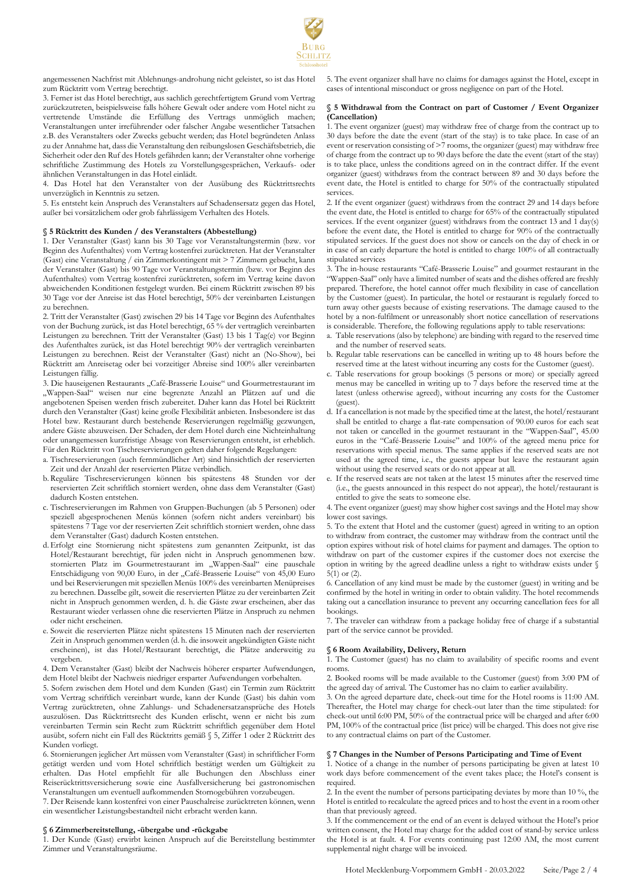

angemessenen Nachfrist mit Ablehnungs-androhung nicht geleistet, so ist das Hotel zum Rücktritt vom Vertrag berechtigt.

3. Ferner ist das Hotel berechtigt, aus sachlich gerechtfertigtem Grund vom Vertrag zurückzutreten, beispielsweise falls höhere Gewalt oder andere vom Hotel nicht zu vertretende Umstände die Erfüllung des Vertrags unmöglich machen; Veranstaltungen unter irreführender oder falscher Angabe wesentlicher Tatsachen z.B. des Veranstalters oder Zwecks gebucht werden; das Hotel begründeten Anlass zu der Annahme hat, dass die Veranstaltung den reibungslosen Geschäftsbetrieb, die Sicherheit oder den Ruf des Hotels gefährden kann; der Veranstalter ohne vorherige schriftliche Zustimmung des Hotels zu Vorstellungsgesprächen, Verkaufs- oder ähnlichen Veranstaltungen in das Hotel einlädt.

4. Das Hotel hat den Veranstalter von der Ausübung des Rücktrittsrechts unverzüglich in Kenntnis zu setzen.

5. Es entsteht kein Anspruch des Veranstalters auf Schadensersatz gegen das Hotel, außer bei vorsätzlichem oder grob fahrlässigem Verhalten des Hotels.

## **§ 5 Rücktritt des Kunden / des Veranstalters (Abbestellung)**

1. Der Veranstalter (Gast) kann bis 30 Tage vor Veranstaltungstermin (bzw. vor Beginn des Aufenthaltes) vom Vertrag kostenfrei zurücktreten. Hat der Veranstalter (Gast) eine Veranstaltung / ein Zimmerkontingent mit > 7 Zimmern gebucht, kann der Veranstalter (Gast) bis 90 Tage vor Veranstaltungstermin (bzw. vor Beginn des Aufenthaltes) vom Vertrag kostenfrei zurücktreten, sofern im Vertrag keine davon abweichenden Konditionen festgelegt wurden. Bei einem Rücktritt zwischen 89 bis 30 Tage vor der Anreise ist das Hotel berechtigt, 50% der vereinbarten Leistungen zu berechnen.

2. Tritt der Veranstalter (Gast) zwischen 29 bis 14 Tage vor Beginn des Aufenthaltes von der Buchung zurück, ist das Hotel berechtigt, 65 % der vertraglich vereinbarten Leistungen zu berechnen. Tritt der Veranstalter (Gast) 13 bis 1 Tag(e) vor Beginn des Aufenthaltes zurück, ist das Hotel berechtigt 90% der vertraglich vereinbarten Leistungen zu berechnen. Reist der Veranstalter (Gast) nicht an (No-Show), bei Rücktritt am Anreisetag oder bei vorzeitiger Abreise sind 100% aller vereinbarten Leistungen fällig.

3. Die hauseigenen Restaurants "Café-Brasserie Louise" und Gourmetrestaurant im "Wappen-Saal" weisen nur eine begrenzte Anzahl an Plätzen auf und die angebotenen Speisen werden frisch zubereitet. Daher kann das Hotel bei Rücktritt durch den Veranstalter (Gast) keine große Flexibilität anbieten. Insbesondere ist das Hotel bzw. Restaurant durch bestehende Reservierungen regelmäßig gezwungen, andere Gäste abzuweisen. Der Schaden, der dem Hotel durch eine Nichteinhaltung oder unangemessen kurzfristige Absage von Reservierungen entsteht, ist erheblich. Für den Rücktritt von Tischreservierungen gelten daher folgende Regelungen:

a. Tischreservierungen (auch fernmündlicher Art) sind hinsichtlich der reservierten Zeit und der Anzahl der reservierten Plätze verbindlich.

- b.Reguläre Tischreservierungen können bis spätestens 48 Stunden vor der reservierten Zeit schriftlich storniert werden, ohne dass dem Veranstalter (Gast) dadurch Kosten entstehen.
- c. Tischreservierungen im Rahmen von Gruppen-Buchungen (ab 5 Personen) oder speziell abgesprochenen Menüs können (sofern nicht anders vereinbart) bis spätestens 7 Tage vor der reservierten Zeit schriftlich storniert werden, ohne dass dem Veranstalter (Gast) dadurch Kosten entstehen.
- d.Erfolgt eine Stornierung nicht spätestens zum genannten Zeitpunkt, ist das Hotel/Restaurant berechtigt, für jeden nicht in Anspruch genommenen bzw. stornierten Platz im Gourmetrestaurant im "Wappen-Saal" eine pauschale Entschädigung von 90,00 Euro, in der "Café-Brasserie Louise" von 45,00 Euro und bei Reservierungen mit speziellen Menüs 100% des vereinbarten Menüpreises zu berechnen. Dasselbe gilt, soweit die reservierten Plätze zu der vereinbarten Zeit nicht in Anspruch genommen werden, d. h. die Gäste zwar erscheinen, aber das Restaurant wieder verlassen ohne die reservierten Plätze in Anspruch zu nehmen oder nicht erscheinen.
- e. Soweit die reservierten Plätze nicht spätestens 15 Minuten nach der reservierten Zeit in Anspruch genommen werden (d. h. die insoweit angekündigten Gäste nicht erscheinen), ist das Hotel/Restaurant berechtigt, die Plätze anderweitig zu vergeben.

4. Dem Veranstalter (Gast) bleibt der Nachweis höherer ersparter Aufwendungen, dem Hotel bleibt der Nachweis niedriger ersparter Aufwendungen vorbehalten.

5. Sofern zwischen dem Hotel und dem Kunden (Gast) ein Termin zum Rücktritt vom Vertrag schriftlich vereinbart wurde, kann der Kunde (Gast) bis dahin vom Vertrag zurücktreten, ohne Zahlungs- und Schadenersatzansprüche des Hotels auszulösen. Das Rücktrittsrecht des Kunden erlischt, wenn er nicht bis zum vereinbarten Termin sein Recht zum Rücktritt schriftlich gegenüber dem Hotel ausübt, sofern nicht ein Fall des Rücktritts gemäß § 5, Ziffer 1 oder 2 Rücktritt des Kunden vorliegt.

6. Stornierungen jeglicher Art müssen vom Veranstalter (Gast) in schriftlicher Form getätigt werden und vom Hotel schriftlich bestätigt werden um Gültigkeit zu erhalten. Das Hotel empfiehlt für alle Buchungen den Abschluss einer Reiserücktrittsversicherung sowie eine Ausfallversicherung bei gastronomischen Veranstaltungen um eventuell aufkommenden Stornogebühren vorzubeugen.

7. Der Reisende kann kostenfrei von einer Pauschalreise zurücktreten können, wenn ein wesentlicher Leistungsbestandteil nicht erbracht werden kann.

#### **§ 6 Zimmerbereitstellung, -übergabe und -rückgabe**

1. Der Kunde (Gast) erwirbt keinen Anspruch auf die Bereitstellung bestimmter Zimmer und Veranstaltungsräume.

5. The event organizer shall have no claims for damages against the Hotel, except in cases of intentional misconduct or gross negligence on part of the Hotel.

## **§ 5 Withdrawal from the Contract on part of Customer / Event Organizer (Cancellation)**

1. The event organizer (guest) may withdraw free of charge from the contract up to 30 days before the date the event (start of the stay) is to take place. In case of an event or reservation consisting of  $\geq 7$  rooms, the organizer (guest) may withdraw free of charge from the contract up to 90 days before the date the event (start of the stay) is to take place, unless the conditions agreed on in the contract differ. If the event organizer (guest) withdraws from the contract between 89 and 30 days before the event date, the Hotel is entitled to charge for 50% of the contractually stipulated services.

2. If the event organizer (guest) withdraws from the contract 29 and 14 days before the event date, the Hotel is entitled to charge for 65% of the contractually stipulated services. If the event organizer (guest) withdraws from the contract 13 and 1 day(s) before the event date, the Hotel is entitled to charge for 90% of the contractually stipulated services. If the guest does not show or cancels on the day of check in or in case of an early departure the hotel is entitled to charge 100% of all contractually stipulated services

3. The in-house restaurants "Café-Brasserie Louise" and gourmet restaurant in the "Wappen-Saal" only have a limited number of seats and the dishes offered are freshly prepared. Therefore, the hotel cannot offer much flexibility in case of cancellation by the Customer (guest). In particular, the hotel or restaurant is regularly forced to turn away other guests because of existing reservations. The damage caused to the hotel by a non-fulfilment or unreasonably short notice cancellation of reservations is considerable. Therefore, the following regulations apply to table reservations:

- a. Table reservations (also by telephone) are binding with regard to the reserved time and the number of reserved seats.
- b. Regular table reservations can be cancelled in writing up to 48 hours before the reserved time at the latest without incurring any costs for the Customer (guest).
- c. Table reservations for group bookings (5 persons or more) or specially agreed menus may be cancelled in writing up to 7 days before the reserved time at the latest (unless otherwise agreed), without incurring any costs for the Customer (guest).
- d. If a cancellation is not made by the specified time at the latest, the hotel/restaurant shall be entitled to charge a flat-rate compensation of 90.00 euros for each seat not taken or cancelled in the gourmet restaurant in the "Wappen-Saal", 45.00 euros in the "Café-Brasserie Louise" and 100% of the agreed menu price for reservations with special menus. The same applies if the reserved seats are not used at the agreed time, i.e., the guests appear but leave the restaurant again without using the reserved seats or do not appear at all.
- e. If the reserved seats are not taken at the latest 15 minutes after the reserved time (i.e., the guests announced in this respect do not appear), the hotel/restaurant is entitled to give the seats to someone else.

4. The event organizer (guest) may show higher cost savings and the Hotel may show lower cost savings.

5. To the extent that Hotel and the customer (guest) agreed in writing to an option to withdraw from contract, the customer may withdraw from the contract until the option expires without risk of hotel claims for payment and damages. The option to withdraw on part of the customer expires if the customer does not exercise the option in writing by the agreed deadline unless a right to withdraw exists under § 5(1) or (2).

6. Cancellation of any kind must be made by the customer (guest) in writing and be confirmed by the hotel in writing in order to obtain validity. The hotel recommends taking out a cancellation insurance to prevent any occurring cancellation fees for all bookings.

7. The traveler can withdraw from a package holiday free of charge if a substantial part of the service cannot be provided.

#### **§ 6 Room Availability, Delivery, Return**

1. The Customer (guest) has no claim to availability of specific rooms and event rooms.

2. Booked rooms will be made available to the Customer (guest) from 3:00 PM of the agreed day of arrival. The Customer has no claim to earlier availability.

3. On the agreed departure date, check-out time for the Hotel rooms is 11:00 AM. Thereafter, the Hotel may charge for check-out later than the time stipulated: for check-out until 6:00 PM, 50% of the contractual price will be charged and after 6:00 PM, 100% of the contractual price (list price) will be charged. This does not give rise to any contractual claims on part of the Customer.

## **§ 7 Changes in the Number of Persons Participating and Time of Event**

1. Notice of a change in the number of persons participating be given at latest 10 work days before commencement of the event takes place; the Hotel's consent is required.

2. In the event the number of persons participating deviates by more than 10 %, the Hotel is entitled to recalculate the agreed prices and to host the event in a room other than that previously agreed.

3. If the commencement or the end of an event is delayed without the Hotel's prior written consent, the Hotel may charge for the added cost of stand-by service unless the Hotel is at fault. 4. For events continuing past 12:00 AM, the most current supplemental night charge will be invoiced.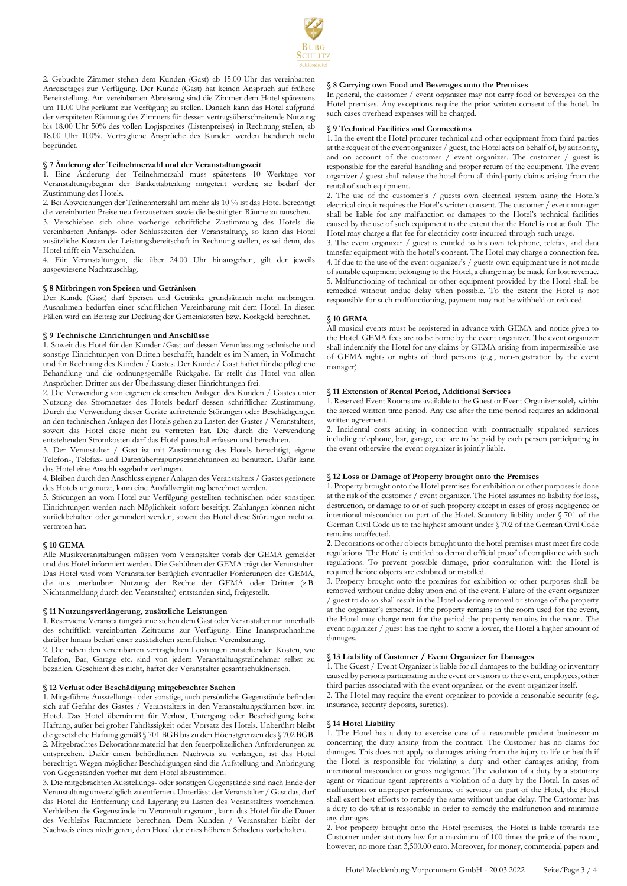

2. Gebuchte Zimmer stehen dem Kunden (Gast) ab 15:00 Uhr des vereinbarten Anreisetages zur Verfügung. Der Kunde (Gast) hat keinen Anspruch auf frühere Bereitstellung. Am vereinbarten Abreisetag sind die Zimmer dem Hotel spätestens um 11.00 Uhr geräumt zur Verfügung zu stellen. Danach kann das Hotel aufgrund der verspäteten Räumung des Zimmers für dessen vertragsüberschreitende Nutzung bis 18.00 Uhr 50% des vollen Logispreises (Listenpreises) in Rechnung stellen, ab 18.00 Uhr 100%. Vertragliche Ansprüche des Kunden werden hierdurch nicht begründet.

#### **§ 7 Änderung der Teilnehmerzahl und der Veranstaltungszeit**

1. Eine Änderung der Teilnehmerzahl muss spätestens 10 Werktage vor Veranstaltungsbeginn der Bankettabteilung mitgeteilt werden; sie bedarf der Zustimmung des Hotels.

2. Bei Abweichungen der Teilnehmerzahl um mehr als 10 % ist das Hotel berechtigt die vereinbarten Preise neu festzusetzen sowie die bestätigten Räume zu tauschen.

3. Verschieben sich ohne vorherige schriftliche Zustimmung des Hotels die vereinbarten Anfangs- oder Schlusszeiten der Veranstaltung, so kann das Hotel zusätzliche Kosten der Leistungsbereitschaft in Rechnung stellen, es sei denn, das Hotel trifft ein Verschulden.

4. Für Veranstaltungen, die über 24.00 Uhr hinausgehen, gilt der jeweils ausgewiesene Nachtzuschlag.

#### **§ 8 Mitbringen von Speisen und Getränken**

Der Kunde (Gast) darf Speisen und Getränke grundsätzlich nicht mitbringen. Ausnahmen bedürfen einer schriftlichen Vereinbarung mit dem Hotel. In diesen Fällen wird ein Beitrag zur Deckung der Gemeinkosten bzw. Korkgeld berechnet.

#### **§ 9 Technische Einrichtungen und Anschlüsse**

1. Soweit das Hotel für den Kunden/Gast auf dessen Veranlassung technische und sonstige Einrichtungen von Dritten beschafft, handelt es im Namen, in Vollmacht und für Rechnung des Kunden / Gastes. Der Kunde / Gast haftet für die pflegliche Behandlung und die ordnungsgemäße Rückgabe. Er stellt das Hotel von allen Ansprüchen Dritter aus der Überlassung dieser Einrichtungen frei.

2. Die Verwendung von eigenen elektrischen Anlagen des Kunden / Gastes unter Nutzung des Stromnetzes des Hotels bedarf dessen schriftlicher Zustimmung. Durch die Verwendung dieser Geräte auftretende Störungen oder Beschädigungen an den technischen Anlagen des Hotels gehen zu Lasten des Gastes / Veranstalters, soweit das Hotel diese nicht zu vertreten hat. Die durch die Verwendung entstehenden Stromkosten darf das Hotel pauschal erfassen und berechnen.

3. Der Veranstalter / Gast ist mit Zustimmung des Hotels berechtigt, eigene Telefon-, Telefax- und Datenübertragungseinrichtungen zu benutzen. Dafür kann das Hotel eine Anschlussgebühr verlangen.

4. Bleiben durch den Anschluss eigener Anlagen des Veranstalters / Gastes geeignete des Hotels ungenutzt, kann eine Ausfallvergütung berechnet werden.

5. Störungen an vom Hotel zur Verfügung gestellten technischen oder sonstigen Einrichtungen werden nach Möglichkeit sofort beseitigt. Zahlungen können nicht zurückbehalten oder gemindert werden, soweit das Hotel diese Störungen nicht zu vertreten hat.

## **§ 10 GEMA**

Alle Musikveranstaltungen müssen vom Veranstalter vorab der GEMA gemeldet und das Hotel informiert werden. Die Gebühren der GEMA trägt der Veranstalter. Das Hotel wird vom Veranstalter bezüglich eventueller Forderungen der GEMA, die aus unerlaubter Nutzung der Rechte der GEMA oder Dritter (z.B. Nichtanmeldung durch den Veranstalter) entstanden sind, freigestellt.

#### **§ 11 Nutzungsverlängerung, zusätzliche Leistungen**

1. Reservierte Veranstaltungsräume stehen dem Gast oder Veranstalter nur innerhalb des schriftlich vereinbarten Zeitraums zur Verfügung. Eine Inanspruchnahme darüber hinaus bedarf einer zusätzlichen schriftlichen Vereinbarung.

2. Die neben den vereinbarten vertraglichen Leistungen entstehenden Kosten, wie Telefon, Bar, Garage etc. sind von jedem Veranstaltungsteilnehmer selbst zu bezahlen. Geschieht dies nicht, haftet der Veranstalter gesamtschuldnerisch.

## **§ 12 Verlust oder Beschädigung mitgebrachter Sachen**

1. Mitgeführte Ausstellungs- oder sonstige, auch persönliche Gegenstände befinden sich auf Gefahr des Gastes / Veranstalters in den Veranstaltungsräumen bzw. im Hotel. Das Hotel übernimmt für Verlust, Untergang oder Beschädigung keine Haftung, außer bei grober Fahrlässigkeit oder Vorsatz des Hotels. Unberührt bleibt die gesetzliche Haftung gemäß § 701 BGB bis zu den Höchstgrenzen des § 702 BGB. 2. Mitgebrachtes Dekorationsmaterial hat den feuerpolizeilichen Anforderungen zu entsprechen. Dafür einen behördlichen Nachweis zu verlangen, ist das Hotel berechtigt. Wegen möglicher Beschädigungen sind die Aufstellung und Anbringung von Gegenständen vorher mit dem Hotel abzustimmen.

3. Die mitgebrachten Ausstellungs- oder sonstigen Gegenstände sind nach Ende der Veranstaltung unverzüglich zu entfernen. Unterlässt der Veranstalter / Gast das, darf das Hotel die Entfernung und Lagerung zu Lasten des Veranstalters vornehmen. Verbleiben die Gegenstände im Veranstaltungsraum, kann das Hotel für die Dauer des Verbleibs Raummiete berechnen. Dem Kunden / Veranstalter bleibt der Nachweis eines niedrigeren, dem Hotel der eines höheren Schadens vorbehalten.

## **§ 8 Carrying own Food and Beverages unto the Premises**

In general, the customer / event organizer may not carry food or beverages on the Hotel premises. Any exceptions require the prior written consent of the hotel. In such cases overhead expenses will be charged.

### **§ 9 Technical Facilities and Connections**

1. In the event the Hotel procures technical and other equipment from third parties at the request of the event organizer / guest, the Hotel acts on behalf of, by authority, and on account of the customer / event organizer. The customer / guest is responsible for the careful handling and proper return of the equipment. The event organizer / guest shall release the hotel from all third-party claims arising from the rental of such equipment.

2. The use of the customer´s / guests own electrical system using the Hotel's electrical circuit requires the Hotel's written consent. The customer / event manager shall be liable for any malfunction or damages to the Hotel's technical facilities caused by the use of such equipment to the extent that the Hotel is not at fault. The Hotel may charge a flat fee for electricity costs incurred through such usage.

3. The event organizer / guest is entitled to his own telephone, telefax, and data transfer equipment with the hotel's consent. The Hotel may charge a connection fee. 4. If due to the use of the event organizer's / guests own equipment use is not made of suitable equipment belonging to the Hotel, a charge may be made for lost revenue. 5. Malfunctioning of technical or other equipment provided by the Hotel shall be remedied without undue delay when possible. To the extent the Hotel is not responsible for such malfunctioning, payment may not be withheld or reduced.

## **§ 10 GEMA**

All musical events must be registered in advance with GEMA and notice given to the Hotel. GEMA fees are to be borne by the event organizer. The event organizer shall indemnify the Hotel for any claims by GEMA arising from impermissible use of GEMA rights or rights of third persons (e.g., non-registration by the event manager).

### **§ 11 Extension of Rental Period, Additional Services**

1. Reserved Event Rooms are available to the Guest or Event Organizer solely within the agreed written time period. Any use after the time period requires an additional written agreement.

2. Incidental costs arising in connection with contractually stipulated services including telephone, bar, garage, etc. are to be paid by each person participating in the event otherwise the event organizer is jointly liable.

## **§ 12 Loss or Damage of Property brought onto the Premises**

1. Property brought onto the Hotel premises for exhibition or other purposes is done at the risk of the customer / event organizer. The Hotel assumes no liability for loss, destruction, or damage to or of such property except in cases of gross negligence or intentional misconduct on part of the Hotel. Statutory liability under § 701 of the German Civil Code up to the highest amount under § 702 of the German Civil Code remains unaffected.

**2.** Decorations or other objects brought unto the hotel premises must meet fire code regulations. The Hotel is entitled to demand official proof of compliance with such regulations. To prevent possible damage, prior consultation with the Hotel is required before objects are exhibited or installed.

3. Property brought onto the premises for exhibition or other purposes shall be removed without undue delay upon end of the event. Failure of the event organizer / guest to do so shall result in the Hotel ordering removal or storage of the property at the organizer's expense. If the property remains in the room used for the event, the Hotel may charge rent for the period the property remains in the room. The event organizer / guest has the right to show a lower, the Hotel a higher amount of damages.

#### **§ 13 Liability of Customer / Event Organizer for Damages**

1. The Guest / Event Organizer is liable for all damages to the building or inventory caused by persons participating in the event or visitors to the event, employees, other third parties associated with the event organizer, or the event organizer itself.

2. The Hotel may require the event organizer to provide a reasonable security (e.g. insurance, security deposits, sureties).

#### **§ 14 Hotel Liability**

1. The Hotel has a duty to exercise care of a reasonable prudent businessman concerning the duty arising from the contract. The Customer has no claims for damages. This does not apply to damages arising from the injury to life or health if the Hotel is responsible for violating a duty and other damages arising from intentional misconduct or gross negligence. The violation of a duty by a statutory agent or vicarious agent represents a violation of a duty by the Hotel. In cases of malfunction or improper performance of services on part of the Hotel, the Hotel shall exert best efforts to remedy the same without undue delay. The Customer has a duty to do what is reasonable in order to remedy the malfunction and minimize any damages.

2. For property brought onto the Hotel premises, the Hotel is liable towards the Customer under statutory law for a maximum of 100 times the price of the room, however, no more than 3,500.00 euro. Moreover, for money, commercial papers and